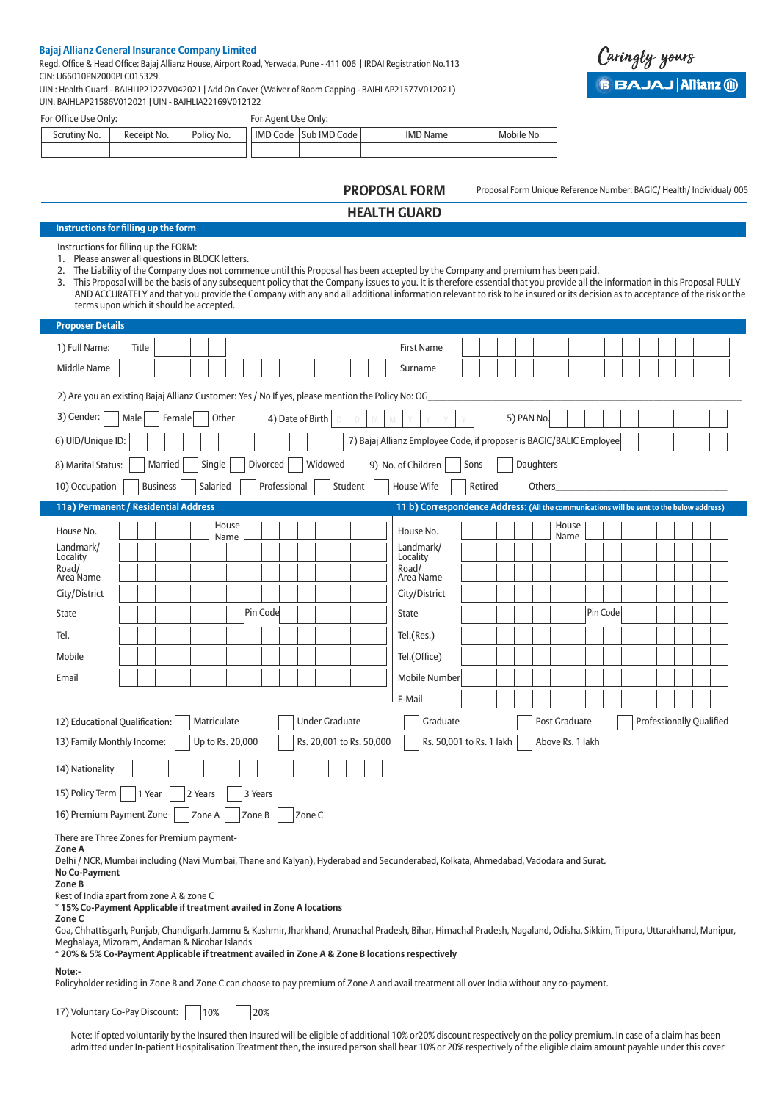#### **Bajaj Allianz General Insurance Company Limited**

Regd. Office & Head Office: Bajaj Allianz House, Airport Road, Yerwada, Pune - 411 006 | IRDAI Registration No.113 CIN: U66010PN2000PLC015329.

UIN : Health Guard - BAJHLIP21227V042021 | Add On Cover (Waiver of Room Capping - BAJHLAP21577V012021) UIN: BAJHLAP21586V012021 | UIN - BAJHLIA22169V012122

For Office Use Only:

| ∶No.<br>icrutinv | Receipt No. | Policy No. | <b>IMD</b><br>Code | JIMD C<br>$\overline{\phantom{0}}$<br>' Code<br>Sub | <b>IMD Name</b> | . .<br>Mobile No |
|------------------|-------------|------------|--------------------|-----------------------------------------------------|-----------------|------------------|
|                  |             |            |                    |                                                     |                 |                  |

For Agent Use Only:

Proposal Form Unique Reference Number: BAGIC/ Health/ Individual/ 005

# **PROPOSAL FORM HEALTH GUARD**

## **Instructions for filling up the form**

Instructions for filling up the FORM:

1. Please answer all questions in BLOCK letters.

2. The Liability of the Company does not commence until this Proposal has been accepted by the Company and premium has been paid.

3. This Proposal will be the basis of any subsequent policy that the Company issues to you. It is therefore essential that you provide all the information in this Proposal FULLY AND ACCURATELY and that you provide the Company with any and all additional information relevant to risk to be insured or its decision as to acceptance of the risk or the terms upon which it should be accepted.

| <b>Proposer Details</b>                                                                                                                                                                                                                                                                                                                                                                                                                                                                                                                                                                                                                                                            |  |  |  |  |  |  |  |
|------------------------------------------------------------------------------------------------------------------------------------------------------------------------------------------------------------------------------------------------------------------------------------------------------------------------------------------------------------------------------------------------------------------------------------------------------------------------------------------------------------------------------------------------------------------------------------------------------------------------------------------------------------------------------------|--|--|--|--|--|--|--|
| 1) Full Name:<br>Title<br><b>First Name</b>                                                                                                                                                                                                                                                                                                                                                                                                                                                                                                                                                                                                                                        |  |  |  |  |  |  |  |
| Middle Name<br>Surname                                                                                                                                                                                                                                                                                                                                                                                                                                                                                                                                                                                                                                                             |  |  |  |  |  |  |  |
| 2) Are you an existing Bajaj Allianz Customer: Yes / No If yes, please mention the Policy No: OG                                                                                                                                                                                                                                                                                                                                                                                                                                                                                                                                                                                   |  |  |  |  |  |  |  |
| 3) Gender:<br>5) PAN No.<br>Male<br>Female<br>Other<br>4) Date of Birth                                                                                                                                                                                                                                                                                                                                                                                                                                                                                                                                                                                                            |  |  |  |  |  |  |  |
| 7) Bajaj Allianz Employee Code, if proposer is BAGIC/BALIC Employee<br>6) UID/Unique ID:                                                                                                                                                                                                                                                                                                                                                                                                                                                                                                                                                                                           |  |  |  |  |  |  |  |
| Widowed<br>Daughters<br>Married<br>Single<br>Divorced<br>9) No. of Children<br>Sons<br>8) Marital Status:                                                                                                                                                                                                                                                                                                                                                                                                                                                                                                                                                                          |  |  |  |  |  |  |  |
| 10) Occupation<br><b>Business</b><br>Professional<br>Student<br>House Wife<br>Retired<br>Salaried<br>Others                                                                                                                                                                                                                                                                                                                                                                                                                                                                                                                                                                        |  |  |  |  |  |  |  |
| 11a) Permanent / Residential Address<br>11 b) Correspondence Address: (All the communications will be sent to the below address)                                                                                                                                                                                                                                                                                                                                                                                                                                                                                                                                                   |  |  |  |  |  |  |  |
| House<br>House<br>House No.<br>House No.<br>Name<br>Name<br>Landmark/<br>Landmark/<br>Locality<br>Locality                                                                                                                                                                                                                                                                                                                                                                                                                                                                                                                                                                         |  |  |  |  |  |  |  |
| Road/<br>Road/<br>Area Name<br>Area Name                                                                                                                                                                                                                                                                                                                                                                                                                                                                                                                                                                                                                                           |  |  |  |  |  |  |  |
| City/District<br>City/District                                                                                                                                                                                                                                                                                                                                                                                                                                                                                                                                                                                                                                                     |  |  |  |  |  |  |  |
| Pin Code<br>Pin Code<br><b>State</b><br><b>State</b>                                                                                                                                                                                                                                                                                                                                                                                                                                                                                                                                                                                                                               |  |  |  |  |  |  |  |
| Tel.(Res.)<br>Tel.                                                                                                                                                                                                                                                                                                                                                                                                                                                                                                                                                                                                                                                                 |  |  |  |  |  |  |  |
| Tel.(Office)<br>Mobile                                                                                                                                                                                                                                                                                                                                                                                                                                                                                                                                                                                                                                                             |  |  |  |  |  |  |  |
| <b>Mobile Number</b><br>Email                                                                                                                                                                                                                                                                                                                                                                                                                                                                                                                                                                                                                                                      |  |  |  |  |  |  |  |
| E-Mail                                                                                                                                                                                                                                                                                                                                                                                                                                                                                                                                                                                                                                                                             |  |  |  |  |  |  |  |
| Matriculate<br><b>Under Graduate</b><br>Graduate<br>Post Graduate<br><b>Professionally Qualified</b><br>12) Educational Qualification:                                                                                                                                                                                                                                                                                                                                                                                                                                                                                                                                             |  |  |  |  |  |  |  |
| Rs. 50,001 to Rs. 1 lakh<br>Above Rs. 1 lakh<br>13) Family Monthly Income:<br>Up to Rs. 20,000<br>Rs. 20,001 to Rs. 50,000                                                                                                                                                                                                                                                                                                                                                                                                                                                                                                                                                         |  |  |  |  |  |  |  |
| 14) Nationality                                                                                                                                                                                                                                                                                                                                                                                                                                                                                                                                                                                                                                                                    |  |  |  |  |  |  |  |
| 15) Policy Term<br>1 Year<br>2 Years<br>3 Years                                                                                                                                                                                                                                                                                                                                                                                                                                                                                                                                                                                                                                    |  |  |  |  |  |  |  |
| 16) Premium Payment Zone-<br>Zone C<br>Zone A<br>Zone B                                                                                                                                                                                                                                                                                                                                                                                                                                                                                                                                                                                                                            |  |  |  |  |  |  |  |
| There are Three Zones for Premium payment-<br>Zone A<br>Delhi / NCR, Mumbai including (Navi Mumbai, Thane and Kalyan), Hyderabad and Secunderabad, Kolkata, Ahmedabad, Vadodara and Surat.<br>No Co-Payment<br>Zone B<br>Rest of India apart from zone A & zone C<br>* 15% Co-Payment Applicable if treatment availed in Zone A locations<br>Zone C<br>Goa, Chhattisgarh, Punjab, Chandigarh, Jammu & Kashmir, Jharkhand, Arunachal Pradesh, Bihar, Himachal Pradesh, Nagaland, Odisha, Sikkim, Tripura, Uttarakhand, Manipur,<br>Meghalaya, Mizoram, Andaman & Nicobar Islands<br>* 20% & 5% Co-Payment Applicable if treatment availed in Zone A & Zone B locations respectively |  |  |  |  |  |  |  |
| Note:-                                                                                                                                                                                                                                                                                                                                                                                                                                                                                                                                                                                                                                                                             |  |  |  |  |  |  |  |

Policyholder residing in Zone B and Zone C can choose to pay premium of Zone A and avail treatment all over India without any co-payment.

17) Voluntary Co-Pay Discount: | | 10%  $|20%$ 

 Note: If opted voluntarily by the Insured then Insured will be eligible of additional 10% or20% discount respectively on the policy premium. In case of a claim has been admitted under In-patient Hospitalisation Treatment then, the insured person shall bear 10% or 20% respectively of the eligible claim amount payable under this cover

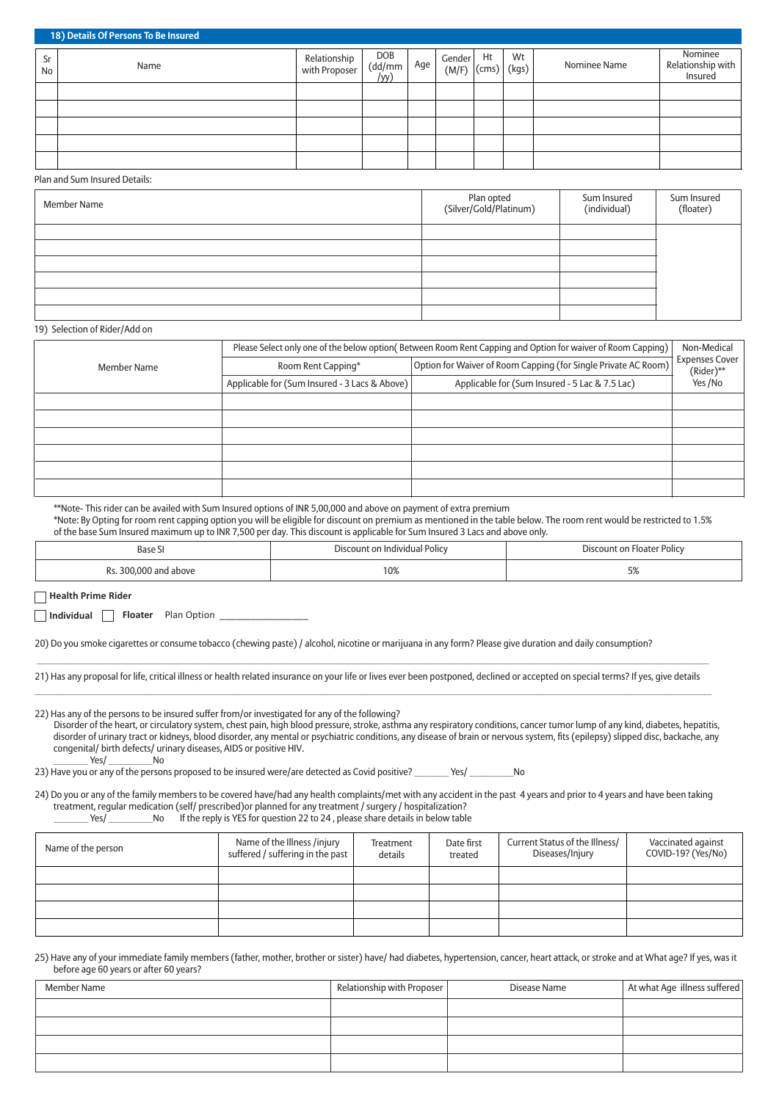|                 | 18) Details Of Persons To Be Insured |                               |                      |     |                 |                   |    |              |                                         |
|-----------------|--------------------------------------|-------------------------------|----------------------|-----|-----------------|-------------------|----|--------------|-----------------------------------------|
| Sr<br><b>No</b> | Name                                 | Relationship<br>with Proposer | DOB<br>(dd/mm<br>/VV | Age | Gender<br>(M/F) | Ht<br>(cms) (kgs) | Wt | Nominee Name | Nominee<br>Relationship with<br>Insured |
|                 |                                      |                               |                      |     |                 |                   |    |              |                                         |
|                 |                                      |                               |                      |     |                 |                   |    |              |                                         |
|                 |                                      |                               |                      |     |                 |                   |    |              |                                         |
|                 |                                      |                               |                      |     |                 |                   |    |              |                                         |
|                 |                                      |                               |                      |     |                 |                   |    |              |                                         |

#### Plan and Sum Insured Details:

| <b>Member Name</b> | Plan opted<br>(Silver/Gold/Platinum) | Sum Insured<br>(individual) | Sum Insured<br>(floater) |
|--------------------|--------------------------------------|-----------------------------|--------------------------|
|                    |                                      |                             |                          |
|                    |                                      |                             |                          |
|                    |                                      |                             |                          |
|                    |                                      |                             |                          |
|                    |                                      |                             |                          |

#### 19) Selection of Rider/Add on

|                    | Please Select only one of the below option(Between Room Rent Capping and Option for waiver of Room Capping) |                                                                |                                    |  |  |
|--------------------|-------------------------------------------------------------------------------------------------------------|----------------------------------------------------------------|------------------------------------|--|--|
| <b>Member Name</b> | Room Rent Capping*                                                                                          | Option for Waiver of Room Capping (for Single Private AC Room) | <b>Expenses Cover</b><br>(Rider)** |  |  |
|                    | Applicable for (Sum Insured - 3 Lacs & Above)                                                               | Applicable for (Sum Insured - 5 Lac & 7.5 Lac)                 | Yes /No                            |  |  |
|                    |                                                                                                             |                                                                |                                    |  |  |
|                    |                                                                                                             |                                                                |                                    |  |  |
|                    |                                                                                                             |                                                                |                                    |  |  |
|                    |                                                                                                             |                                                                |                                    |  |  |
|                    |                                                                                                             |                                                                |                                    |  |  |
|                    |                                                                                                             |                                                                |                                    |  |  |

\*\*Note- This rider can be availed with Sum Insured options of INR 5,00,000 and above on payment of extra premium

\*Note: By Opting for room rent capping option you will be eligible for discount on premium as mentioned in the table below. The room rent would be restricted to 1.5% of the base Sum Insured maximum up to INR 7,500 per day. This discount is applicable for Sum Insured 3 Lacs and above only.

| Base<br>י כ.<br>.     | a Individual Policy.<br>יחווח־ | <b>POIICV</b><br>·Ioate                         |
|-----------------------|--------------------------------|-------------------------------------------------|
| n.<br>ahove<br>.<br>. | 10%                            | $\Gamma$ <sup><math>\alpha</math></sup><br>ーーノー |

**Health Prime Rider**

**Individual Floater** Plan Option

20) Do you smoke cigarettes or consume tobacco (chewing paste) / alcohol, nicotine or marijuana in any form? Please give duration and daily consumption?

 $\_$  ,  $\_$  ,  $\_$  ,  $\_$  ,  $\_$  ,  $\_$  ,  $\_$  ,  $\_$  ,  $\_$  ,  $\_$  ,  $\_$  ,  $\_$  ,  $\_$  ,  $\_$  ,  $\_$  ,  $\_$  ,  $\_$  ,  $\_$  ,  $\_$  ,  $\_$  ,  $\_$  ,  $\_$  ,  $\_$  ,  $\_$  ,  $\_$  ,  $\_$  ,  $\_$  ,  $\_$  ,  $\_$  ,  $\_$  ,  $\_$  ,  $\_$  ,  $\_$  ,  $\_$  ,  $\_$  ,  $\_$  ,  $\_$  , 21) Has any proposal for life, critical illness or health related insurance on your life or lives ever been postponed, declined or accepted on special terms? If yes, give details  $\_$  , and the set of the set of the set of the set of the set of the set of the set of the set of the set of the set of the set of the set of the set of the set of the set of the set of the set of the set of the set of th

22) Has any of the persons to be insured suffer from/or investigated for any of the following? Disorder of the heart, or circulatory system, chest pain, high blood pressure, stroke, asthma any respiratory conditions, cancer tumor lump of any kind, diabetes, hepatitis, disorder of urinary tract or kidneys, blood disorder, any mental or psychiatric conditions, any disease of brain or nervous system, fits (epilepsy) slipped disc, backache, any congenital/ birth defects/ urinary diseases, AIDS or positive HIV. Yes/ No

23) Have you or any of the persons proposed to be insured were/are detected as Covid positive? \_\_\_\_\_\_\_\_\_ Yes/ \_\_\_\_\_\_\_\_\_\_No

24) Do you or any of the family members to be covered have/had any health complaints/met with any accident in the past 4 years and prior to 4 years and have been taking treatment, regular medication (self/ prescribed)or planned for any treatment / surgery / hospitalization?  $Z$  Yes/ \_\_\_\_\_\_\_\_\_\_\_No If the reply is YES for question 22 to 24 , please share details in below table

| Name of the person | Name of the Illness /injury<br>suffered / suffering in the past | Treatment<br>details | Date first<br>treated | Current Status of the Illness/<br>Diseases/Injury | Vaccinated against<br>COVID-19? (Yes/No) |
|--------------------|-----------------------------------------------------------------|----------------------|-----------------------|---------------------------------------------------|------------------------------------------|
|                    |                                                                 |                      |                       |                                                   |                                          |
|                    |                                                                 |                      |                       |                                                   |                                          |
|                    |                                                                 |                      |                       |                                                   |                                          |
|                    |                                                                 |                      |                       |                                                   |                                          |

25) Have any of your immediate family members (father, mother, brother or sister) have/ had diabetes, hypertension, cancer, heart attack, or stroke and at What age? If yes, was it before age 60 years or after 60 years?

| Member Name | Relationship with Proposer | Disease Name | At what Age illness suffered |
|-------------|----------------------------|--------------|------------------------------|
|             |                            |              |                              |
|             |                            |              |                              |
|             |                            |              |                              |
|             |                            |              |                              |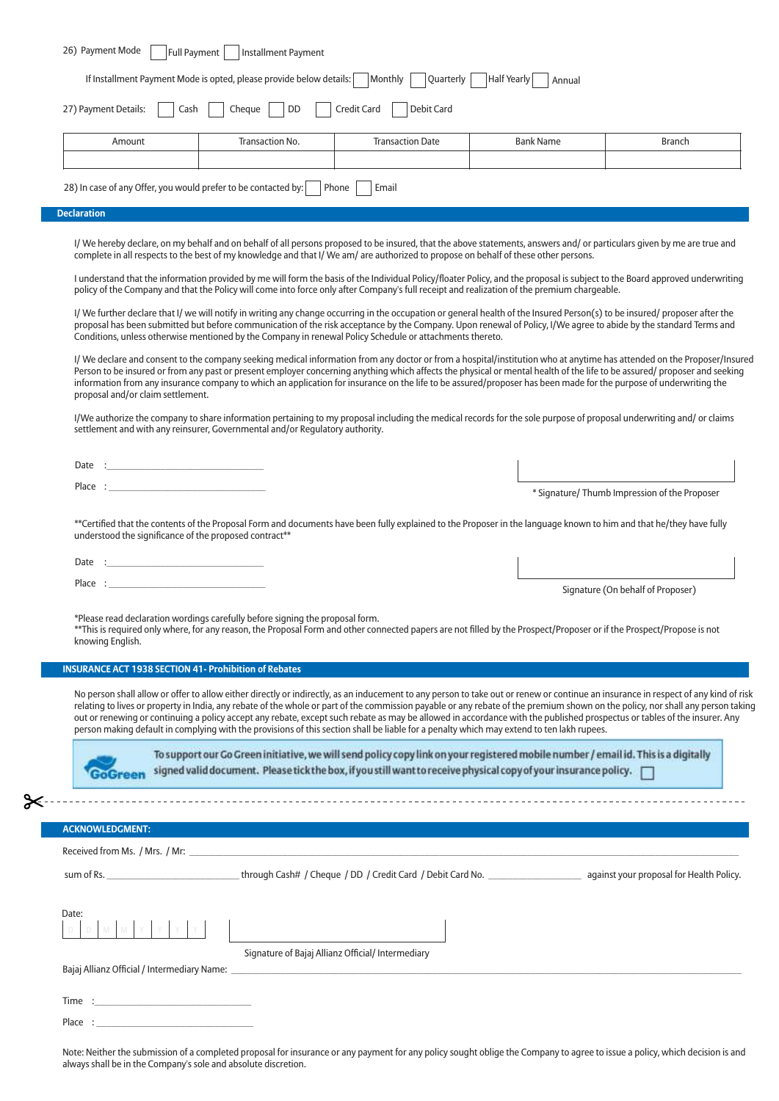| 27) Payment Details:                                                                                                                                                                                                           | Cash<br>Cheque<br>DD                                                          | Credit Card<br>Debit Card                                                                                                                                                                                                                                                                                                                                                                                                                                                                                                |                  |                                               |
|--------------------------------------------------------------------------------------------------------------------------------------------------------------------------------------------------------------------------------|-------------------------------------------------------------------------------|--------------------------------------------------------------------------------------------------------------------------------------------------------------------------------------------------------------------------------------------------------------------------------------------------------------------------------------------------------------------------------------------------------------------------------------------------------------------------------------------------------------------------|------------------|-----------------------------------------------|
| Amount                                                                                                                                                                                                                         | Transaction No.                                                               | <b>Transaction Date</b>                                                                                                                                                                                                                                                                                                                                                                                                                                                                                                  | <b>Bank Name</b> | <b>Branch</b>                                 |
|                                                                                                                                                                                                                                |                                                                               |                                                                                                                                                                                                                                                                                                                                                                                                                                                                                                                          |                  |                                               |
|                                                                                                                                                                                                                                | 28) In case of any Offer, you would prefer to be contacted by:                | Phone<br>Email                                                                                                                                                                                                                                                                                                                                                                                                                                                                                                           |                  |                                               |
| <b>Declaration</b>                                                                                                                                                                                                             |                                                                               |                                                                                                                                                                                                                                                                                                                                                                                                                                                                                                                          |                  |                                               |
|                                                                                                                                                                                                                                |                                                                               | I/We hereby declare, on my behalf and on behalf of all persons proposed to be insured, that the above statements, answers and/or particulars given by me are true and<br>complete in all respects to the best of my knowledge and that I/ We am/ are authorized to propose on behalf of these other persons.                                                                                                                                                                                                             |                  |                                               |
|                                                                                                                                                                                                                                |                                                                               | I understand that the information provided by me will form the basis of the Individual Policy/floater Policy, and the proposal is subject to the Board approved underwriting<br>policy of the Company and that the Policy will come into force only after Company's full receipt and realization of the premium chargeable.                                                                                                                                                                                              |                  |                                               |
|                                                                                                                                                                                                                                |                                                                               | I/We further declare that I/we will notify in writing any change occurring in the occupation or general health of the Insured Person(s) to be insured/ proposer after the<br>proposal has been submitted but before communication of the risk acceptance by the Company. Upon renewal of Policy, I/We agree to abide by the standard Terms and<br>Conditions, unless otherwise mentioned by the Company in renewal Policy Schedule or attachments thereto.                                                               |                  |                                               |
| proposal and/or claim settlement.                                                                                                                                                                                              |                                                                               | I/We declare and consent to the company seeking medical information from any doctor or from a hospital/institution who at anytime has attended on the Proposer/Insured<br>Person to be insured or from any past or present employer concerning anything which affects the physical or mental health of the life to be assured/ proposer and seeking<br>information from any insurance company to which an application for insurance on the life to be assured/proposer has been made for the purpose of underwriting the |                  |                                               |
|                                                                                                                                                                                                                                | settlement and with any reinsurer, Governmental and/or Regulatory authority.  | I/We authorize the company to share information pertaining to my proposal including the medical records for the sole purpose of proposal underwriting and/or claims                                                                                                                                                                                                                                                                                                                                                      |                  |                                               |
| Date :                                                                                                                                                                                                                         |                                                                               |                                                                                                                                                                                                                                                                                                                                                                                                                                                                                                                          |                  |                                               |
|                                                                                                                                                                                                                                |                                                                               |                                                                                                                                                                                                                                                                                                                                                                                                                                                                                                                          |                  | * Signature/ Thumb Impression of the Proposer |
|                                                                                                                                                                                                                                |                                                                               |                                                                                                                                                                                                                                                                                                                                                                                                                                                                                                                          |                  |                                               |
|                                                                                                                                                                                                                                | understood the significance of the proposed contract**                        | **Certified that the contents of the Proposal Form and documents have been fully explained to the Proposer in the language known to him and that he/they have fully                                                                                                                                                                                                                                                                                                                                                      |                  |                                               |
| Date :                                                                                                                                                                                                                         | the control of the control of the control of the                              |                                                                                                                                                                                                                                                                                                                                                                                                                                                                                                                          |                  |                                               |
| Place : and the state of the state of the state of the state of the state of the state of the state of the state of the state of the state of the state of the state of the state of the state of the state of the state of th |                                                                               |                                                                                                                                                                                                                                                                                                                                                                                                                                                                                                                          |                  | Signature (On behalf of Proposer)             |
| knowing English.                                                                                                                                                                                                               | *Please read declaration wordings carefully before signing the proposal form. | **This is required only where, for any reason, the Proposal Form and other connected papers are not filled by the Prospect/Proposer or if the Prospect/Propose is not                                                                                                                                                                                                                                                                                                                                                    |                  |                                               |
|                                                                                                                                                                                                                                | <b>INSURANCE ACT 1938 SECTION 41- Prohibition of Rebates</b>                  |                                                                                                                                                                                                                                                                                                                                                                                                                                                                                                                          |                  |                                               |
|                                                                                                                                                                                                                                |                                                                               | No person shall allow or offer to allow either directly or indirectly, as an inducement to any person to take out or renew or continue an insurance in respect of any kind of risk                                                                                                                                                                                                                                                                                                                                       |                  |                                               |
|                                                                                                                                                                                                                                |                                                                               | relating to lives or property in India, any rebate of the whole or part of the commission payable or any rebate of the premium shown on the policy, nor shall any person taking<br>out or renewing or continuing a policy accept any rebate, except such rebate as may be allowed in accordance with the published prospectus or tables of the insurer. Any<br>person making default in complying with the provisions of this section shall be liable for a penalty which may extend to ten lakh rupees.                 |                  |                                               |
|                                                                                                                                                                                                                                |                                                                               | To support our Go Green initiative, we will send policy copy link on your registered mobile number / email id. This is a digitally<br>signed valid document. Please tick the box, if you still want to receive physical copy of your insurance policy. $\Box$                                                                                                                                                                                                                                                            |                  |                                               |
|                                                                                                                                                                                                                                |                                                                               |                                                                                                                                                                                                                                                                                                                                                                                                                                                                                                                          |                  |                                               |
| <b>ACKNOWLEDGMENT:</b>                                                                                                                                                                                                         |                                                                               |                                                                                                                                                                                                                                                                                                                                                                                                                                                                                                                          |                  |                                               |
|                                                                                                                                                                                                                                |                                                                               |                                                                                                                                                                                                                                                                                                                                                                                                                                                                                                                          |                  |                                               |
|                                                                                                                                                                                                                                |                                                                               | sum of Rs. ___________________________through Cash# / Cheque / DD / Credit Card / Debit Card No. ___________________________ against your proposal for Health Policy.                                                                                                                                                                                                                                                                                                                                                    |                  |                                               |
| Date:                                                                                                                                                                                                                          |                                                                               |                                                                                                                                                                                                                                                                                                                                                                                                                                                                                                                          |                  |                                               |
|                                                                                                                                                                                                                                |                                                                               |                                                                                                                                                                                                                                                                                                                                                                                                                                                                                                                          |                  |                                               |
|                                                                                                                                                                                                                                |                                                                               | Signature of Bajaj Allianz Official/ Intermediary                                                                                                                                                                                                                                                                                                                                                                                                                                                                        |                  |                                               |
|                                                                                                                                                                                                                                |                                                                               |                                                                                                                                                                                                                                                                                                                                                                                                                                                                                                                          |                  |                                               |

 $\Box$ 

 $\mathsf{\approx}$ 

Note: Neither the submission of a completed proposal for insurance or any payment for any policy sought oblige the Company to agree to issue a policy, which decision is and always shall be in the Company's sole and absolute discretion.